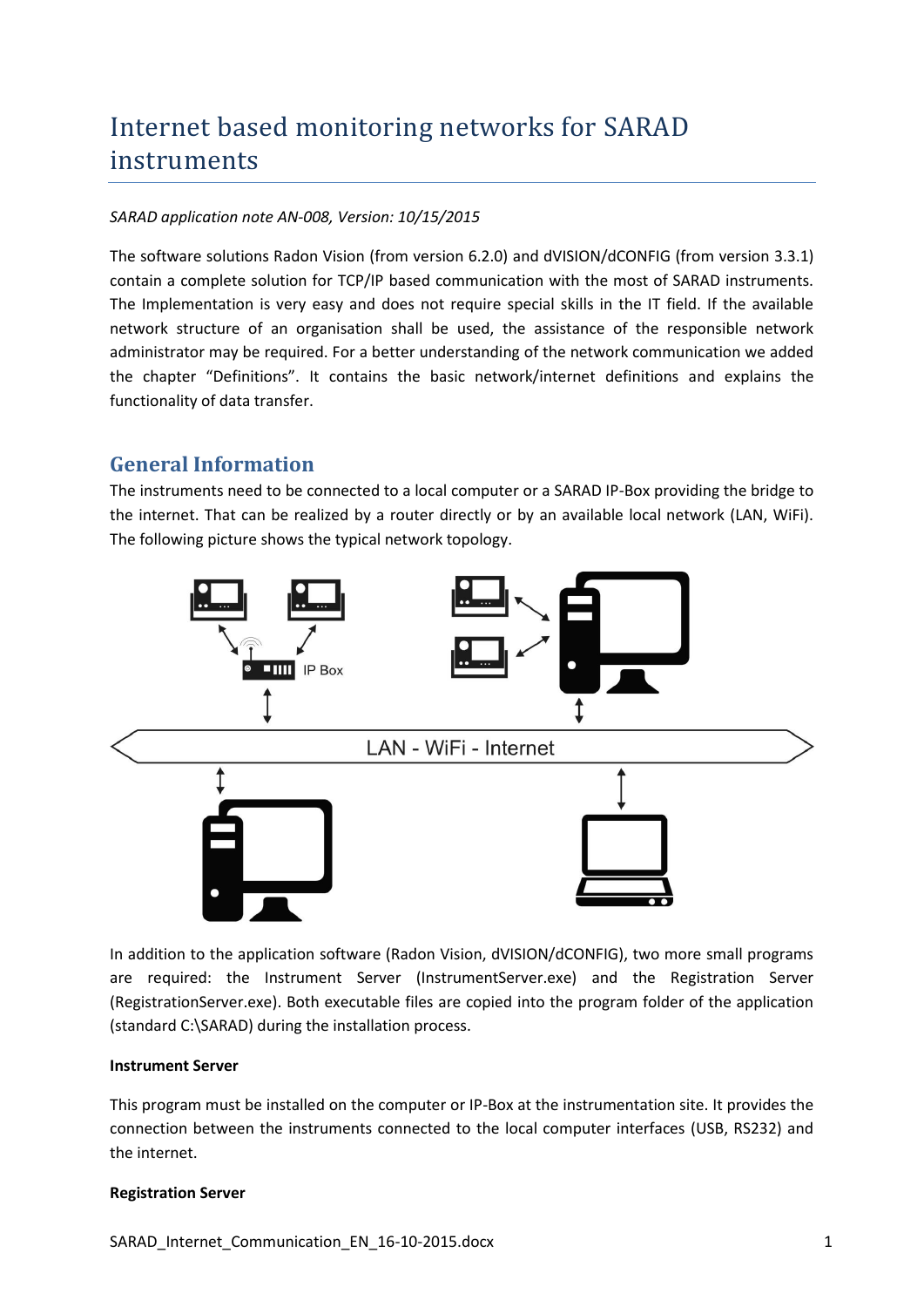# Internet based monitoring networks for SARAD instruments

#### *SARAD application note AN-008, Version: 10/15/2015*

The software solutions Radon Vision (from version 6.2.0) and dVISION/dCONFIG (from version 3.3.1) contain a complete solution for TCP/IP based communication with the most of SARAD instruments. The Implementation is very easy and does not require special skills in the IT field. If the available network structure of an organisation shall be used, the assistance of the responsible network administrator may be required. For a better understanding of the network communication we added the chapter "Definitions". It contains the basic network/internet definitions and explains the functionality of data transfer.

## **General Information**

The instruments need to be connected to a local computer or a SARAD IP-Box providing the bridge to the internet. That can be realized by a router directly or by an available local network (LAN, WiFi). The following picture shows the typical network topology.



In addition to the application software (Radon Vision, dVISION/dCONFIG), two more small programs are required: the Instrument Server (InstrumentServer.exe) and the Registration Server (RegistrationServer.exe). Both executable files are copied into the program folder of the application (standard C:\SARAD) during the installation process.

#### **Instrument Server**

This program must be installed on the computer or IP-Box at the instrumentation site. It provides the connection between the instruments connected to the local computer interfaces (USB, RS232) and the internet.

#### **Registration Server**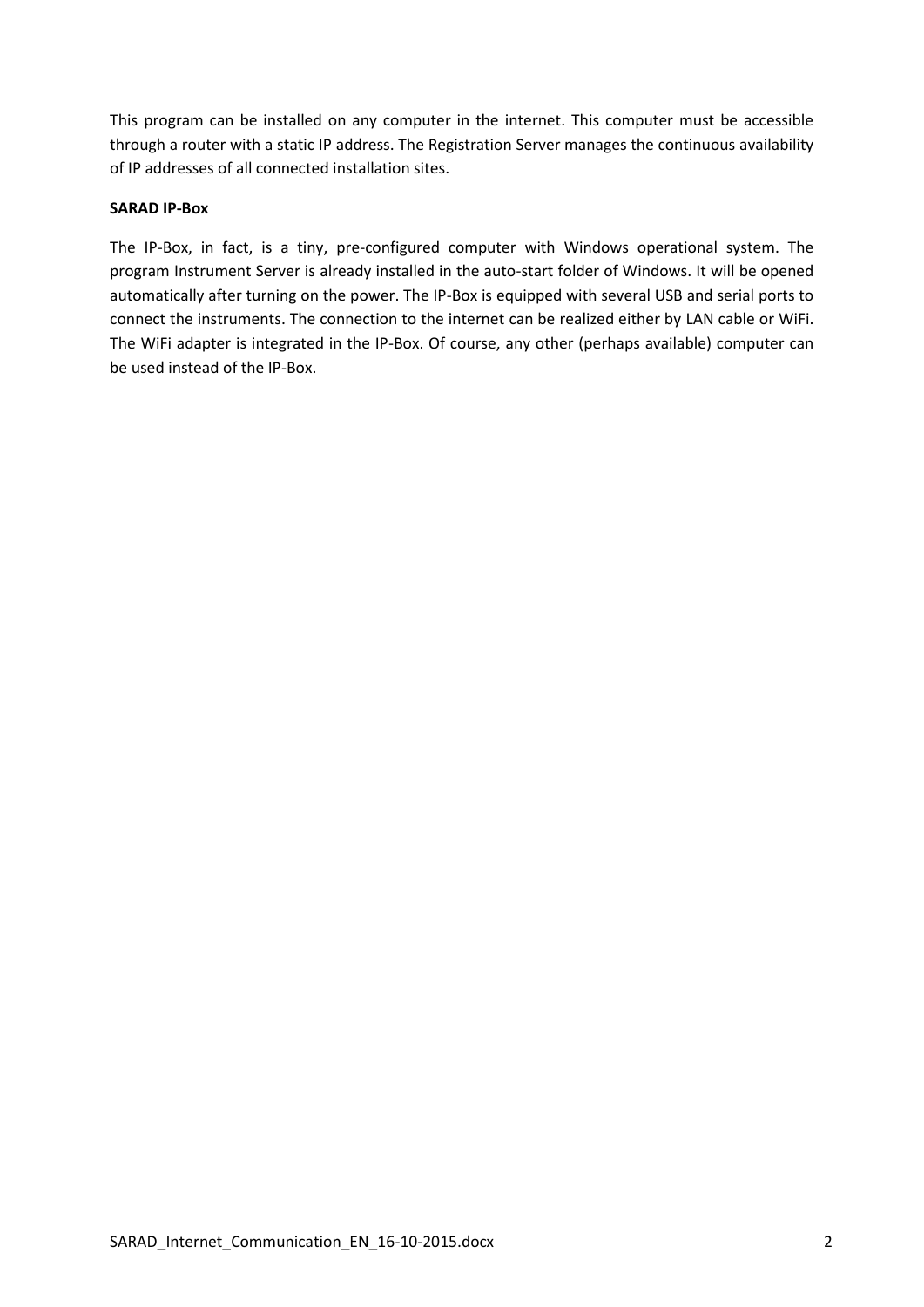This program can be installed on any computer in the internet. This computer must be accessible through a router with a static IP address. The Registration Server manages the continuous availability of IP addresses of all connected installation sites.

#### **SARAD IP-Box**

The IP-Box, in fact, is a tiny, pre-configured computer with Windows operational system. The program Instrument Server is already installed in the auto-start folder of Windows. It will be opened automatically after turning on the power. The IP-Box is equipped with several USB and serial ports to connect the instruments. The connection to the internet can be realized either by LAN cable or WiFi. The WiFi adapter is integrated in the IP-Box. Of course, any other (perhaps available) computer can be used instead of the IP-Box.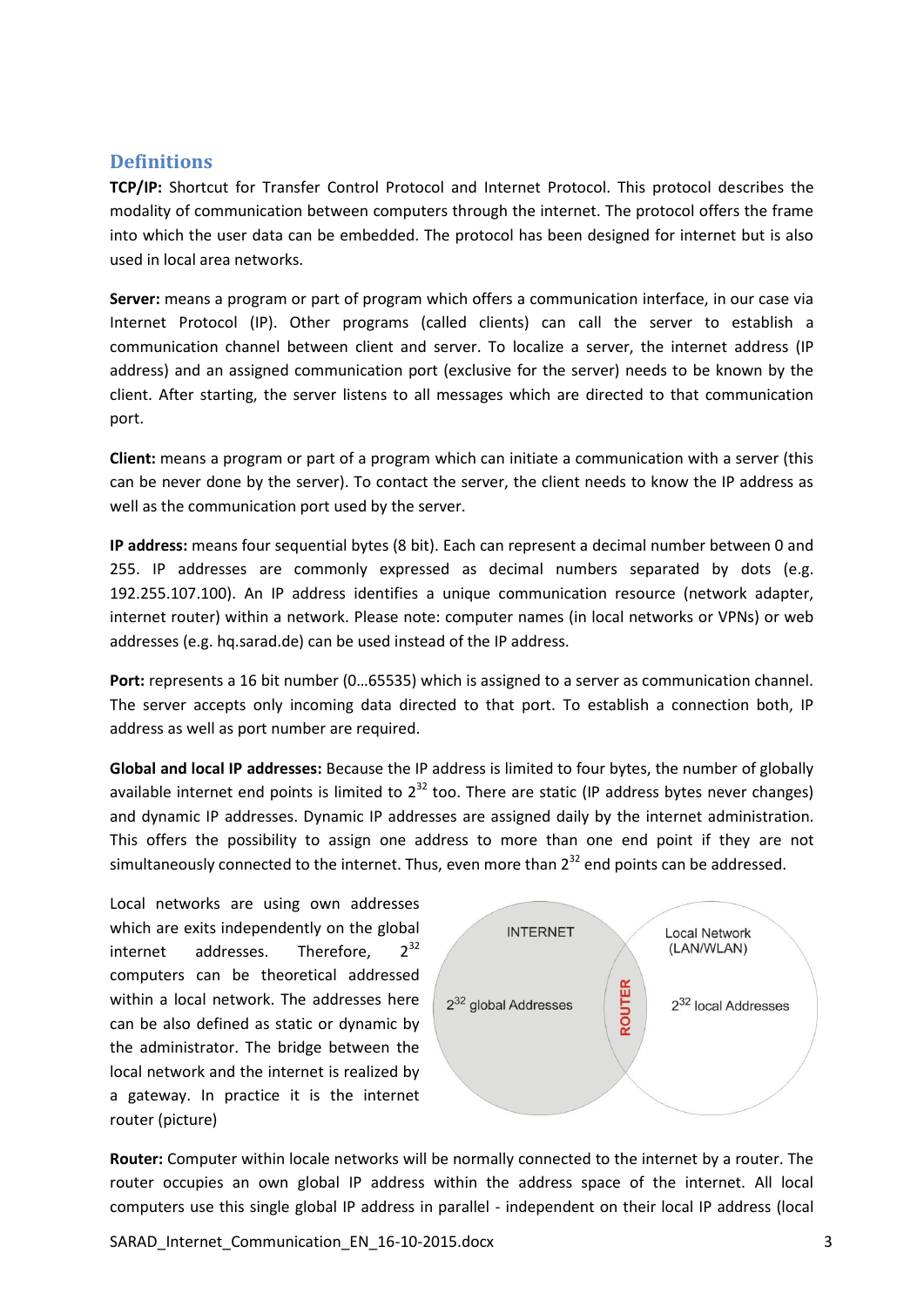#### **Definitions**

**TCP/IP:** Shortcut for Transfer Control Protocol and Internet Protocol. This protocol describes the modality of communication between computers through the internet. The protocol offers the frame into which the user data can be embedded. The protocol has been designed for internet but is also used in local area networks.

**Server:** means a program or part of program which offers a communication interface, in our case via Internet Protocol (IP). Other programs (called clients) can call the server to establish a communication channel between client and server. To localize a server, the internet address (IP address) and an assigned communication port (exclusive for the server) needs to be known by the client. After starting, the server listens to all messages which are directed to that communication port.

**Client:** means a program or part of a program which can initiate a communication with a server (this can be never done by the server). To contact the server, the client needs to know the IP address as well as the communication port used by the server.

**IP address:** means four sequential bytes (8 bit). Each can represent a decimal number between 0 and 255. IP addresses are commonly expressed as decimal numbers separated by dots (e.g. 192.255.107.100). An IP address identifies a unique communication resource (network adapter, internet router) within a network. Please note: computer names (in local networks or VPNs) or web addresses (e.g. hq.sarad.de) can be used instead of the IP address.

**Port:** represents a 16 bit number (0…65535) which is assigned to a server as communication channel. The server accepts only incoming data directed to that port. To establish a connection both, IP address as well as port number are required.

**Global and local IP addresses:** Because the IP address is limited to four bytes, the number of globally available internet end points is limited to  $2^{32}$  too. There are static (IP address bytes never changes) and dynamic IP addresses. Dynamic IP addresses are assigned daily by the internet administration. This offers the possibility to assign one address to more than one end point if they are not simultaneously connected to the internet. Thus, even more than  $2^{32}$  end points can be addressed.

Local networks are using own addresses which are exits independently on the global internet addresses. Therefore.  $2^{32}$ computers can be theoretical addressed within a local network. The addresses here can be also defined as static or dynamic by the administrator. The bridge between the local network and the internet is realized by a gateway. In practice it is the internet router (picture)



**Router:** Computer within locale networks will be normally connected to the internet by a router. The router occupies an own global IP address within the address space of the internet. All local computers use this single global IP address in parallel - independent on their local IP address (local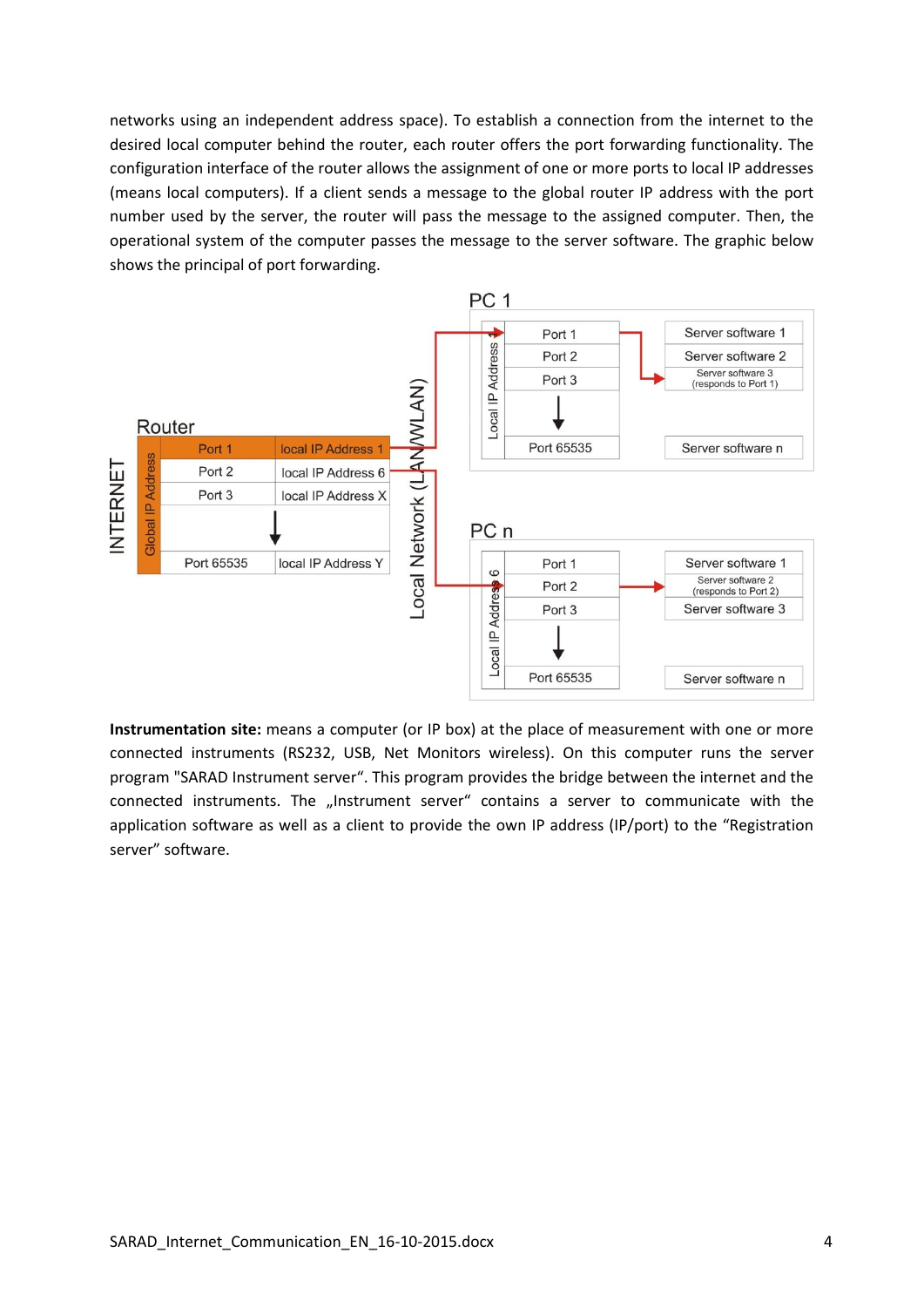networks using an independent address space). To establish a connection from the internet to the desired local computer behind the router, each router offers the port forwarding functionality. The configuration interface of the router allows the assignment of one or more ports to local IP addresses (means local computers). If a client sends a message to the global router IP address with the port number used by the server, the router will pass the message to the assigned computer. Then, the operational system of the computer passes the message to the server software. The graphic below shows the principal of port forwarding.



**Instrumentation site:** means a computer (or IP box) at the place of measurement with one or more connected instruments (RS232, USB, Net Monitors wireless). On this computer runs the server program "SARAD Instrument server". This program provides the bridge between the internet and the connected instruments. The "Instrument server" contains a server to communicate with the application software as well as a client to provide the own IP address (IP/port) to the "Registration server" software.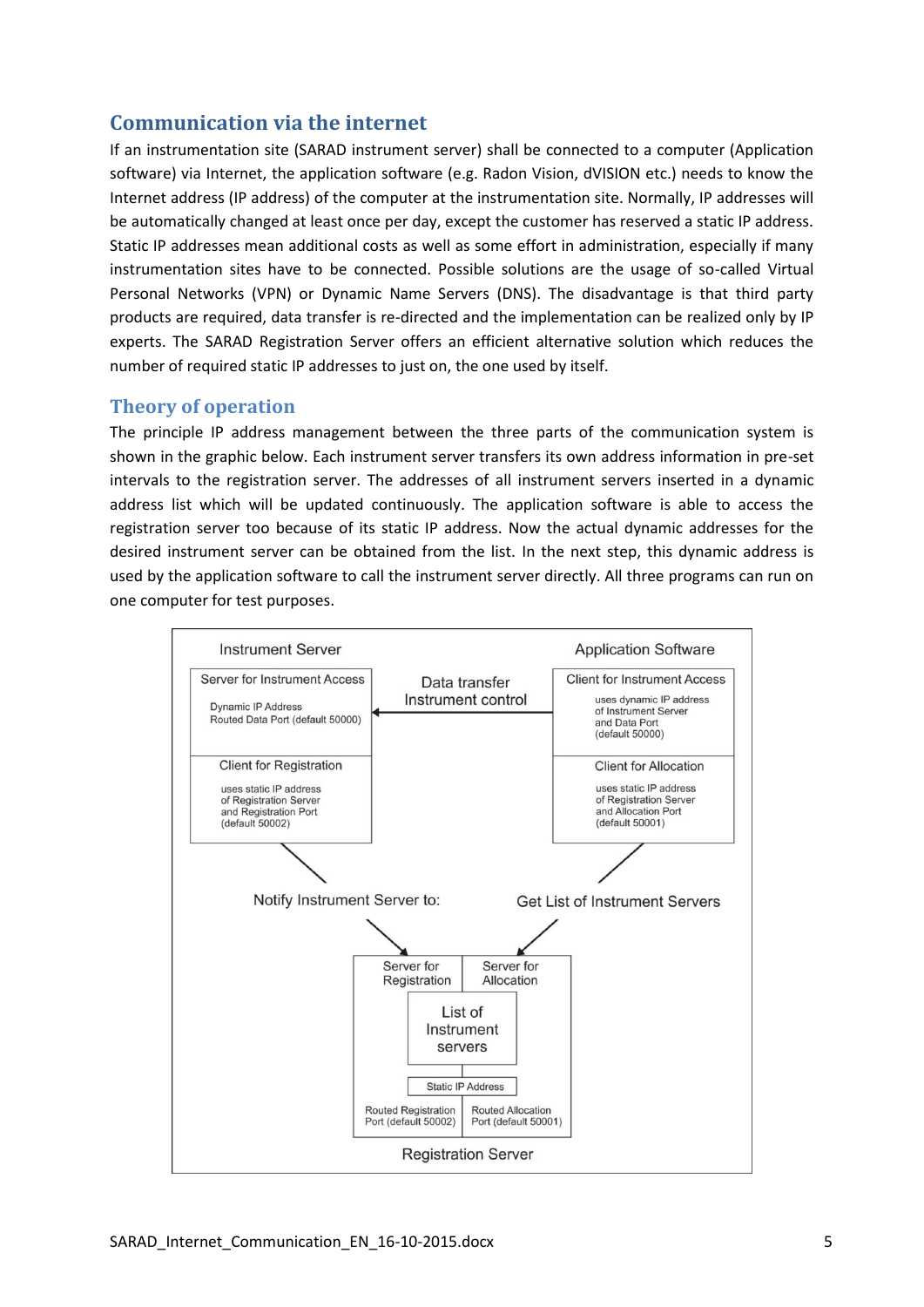# **Communication via the internet**

If an instrumentation site (SARAD instrument server) shall be connected to a computer (Application software) via Internet, the application software (e.g. Radon Vision, dVISION etc.) needs to know the Internet address (IP address) of the computer at the instrumentation site. Normally, IP addresses will be automatically changed at least once per day, except the customer has reserved a static IP address. Static IP addresses mean additional costs as well as some effort in administration, especially if many instrumentation sites have to be connected. Possible solutions are the usage of so-called Virtual Personal Networks (VPN) or Dynamic Name Servers (DNS). The disadvantage is that third party products are required, data transfer is re-directed and the implementation can be realized only by IP experts. The SARAD Registration Server offers an efficient alternative solution which reduces the number of required static IP addresses to just on, the one used by itself.

#### **Theory of operation**

The principle IP address management between the three parts of the communication system is shown in the graphic below. Each instrument server transfers its own address information in pre-set intervals to the registration server. The addresses of all instrument servers inserted in a dynamic address list which will be updated continuously. The application software is able to access the registration server too because of its static IP address. Now the actual dynamic addresses for the desired instrument server can be obtained from the list. In the next step, this dynamic address is used by the application software to call the instrument server directly. All three programs can run on one computer for test purposes.

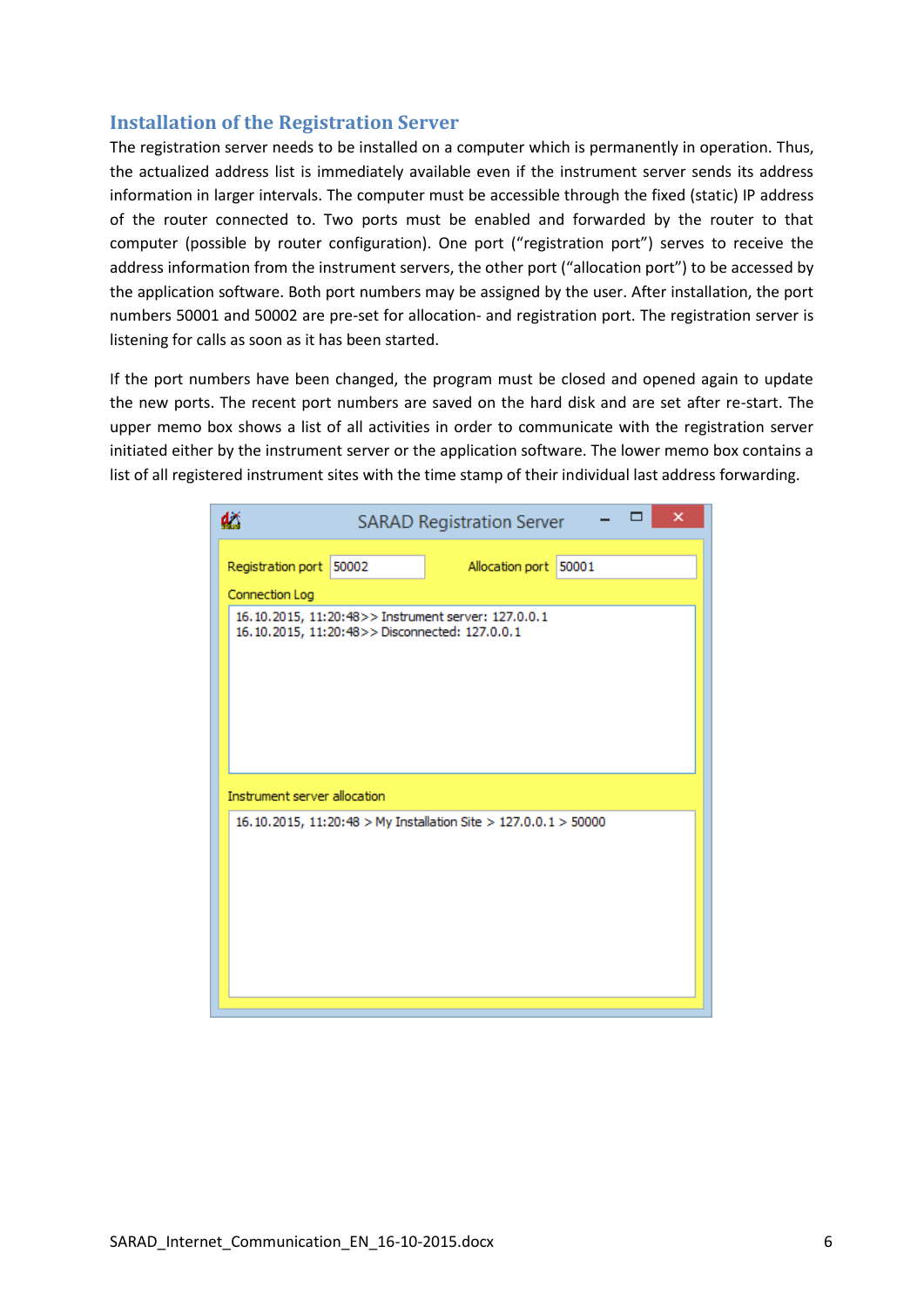## **Installation of the Registration Server**

The registration server needs to be installed on a computer which is permanently in operation. Thus, the actualized address list is immediately available even if the instrument server sends its address information in larger intervals. The computer must be accessible through the fixed (static) IP address of the router connected to. Two ports must be enabled and forwarded by the router to that computer (possible by router configuration). One port ("registration port") serves to receive the address information from the instrument servers, the other port ("allocation port") to be accessed by the application software. Both port numbers may be assigned by the user. After installation, the port numbers 50001 and 50002 are pre-set for allocation- and registration port. The registration server is listening for calls as soon as it has been started.

If the port numbers have been changed, the program must be closed and opened again to update the new ports. The recent port numbers are saved on the hard disk and are set after re-start. The upper memo box shows a list of all activities in order to communicate with the registration server initiated either by the instrument server or the application software. The lower memo box contains a list of all registered instrument sites with the time stamp of their individual last address forwarding.

| ×<br>dž<br><b>SARAD Registration Server</b>                                                          |  |                       |  |  |  |
|------------------------------------------------------------------------------------------------------|--|-----------------------|--|--|--|
| Registration port 50002                                                                              |  | Allocation port 50001 |  |  |  |
| Connection Log                                                                                       |  |                       |  |  |  |
| 16.10.2015, 11:20:48>> Instrument server: 127.0.0.1<br>16.10.2015, 11:20:48>>Disconnected: 127.0.0.1 |  |                       |  |  |  |
| Instrument server allocation                                                                         |  |                       |  |  |  |
| 16.10.2015, 11:20:48 > My Installation Site > 127.0.0.1 > 50000                                      |  |                       |  |  |  |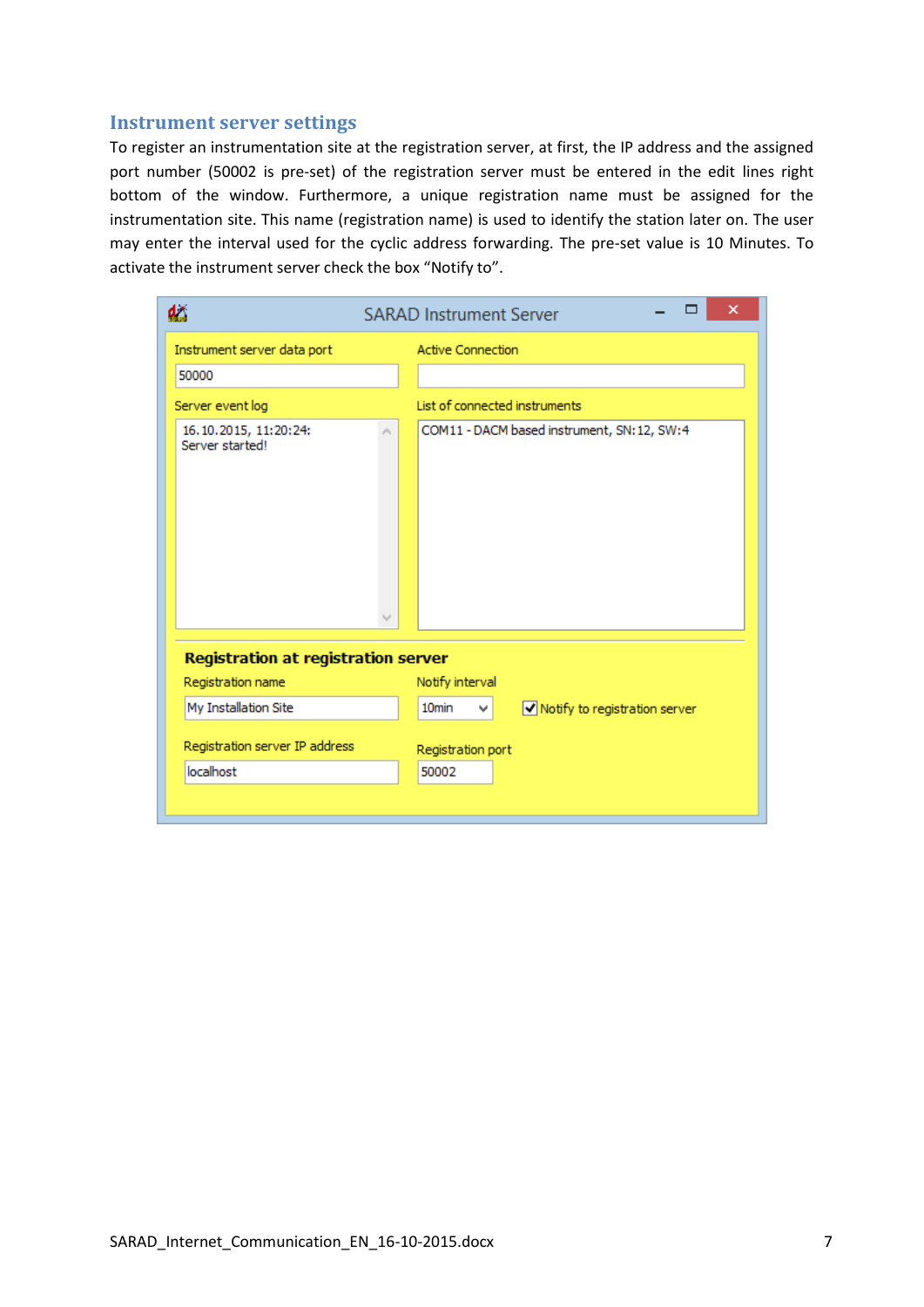#### **Instrument server settings**

To register an instrumentation site at the registration server, at first, the IP address and the assigned port number (50002 is pre-set) of the registration server must be entered in the edit lines right bottom of the window. Furthermore, a unique registration name must be assigned for the instrumentation site. This name (registration name) is used to identify the station later on. The user may enter the interval used for the cyclic address forwarding. The pre-set value is 10 Minutes. To activate the instrument server check the box "Notify to".

| dž                                         | ×<br><b>SARAD Instrument Server</b>                       |  |
|--------------------------------------------|-----------------------------------------------------------|--|
| Instrument server data port                | <b>Active Connection</b>                                  |  |
| 50000                                      |                                                           |  |
| Server event log                           | List of connected instruments                             |  |
| 16.10.2015, 11:20:24:<br>Server started!   | COM11 - DACM based instrument, SN:12, SW:4                |  |
| <b>Registration at registration server</b> |                                                           |  |
| Registration name                          | Notify interval                                           |  |
| My Installation Site                       | 10 <sub>min</sub><br>V Notify to registration server<br>v |  |
| Registration server IP address             | Registration port                                         |  |
| localhost                                  | 50002                                                     |  |
|                                            |                                                           |  |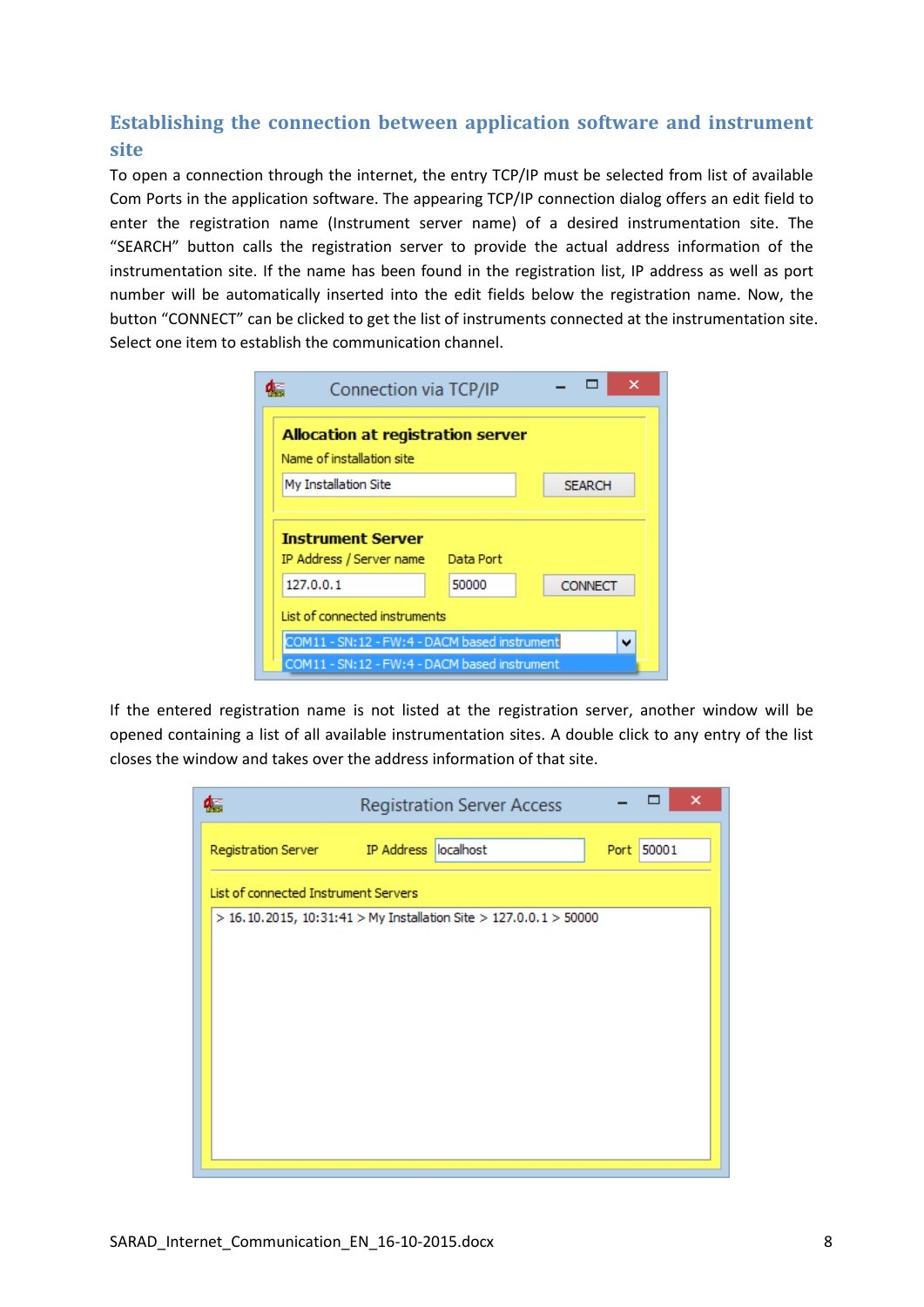# **Establishing the connection between application software and instrument site**

To open a connection through the internet, the entry TCP/IP must be selected from list of available Com Ports in the application software. The appearing TCP/IP connection dialog offers an edit field to enter the registration name (Instrument server name) of a desired instrumentation site. The "SEARCH" button calls the registration server to provide the actual address information of the instrumentation site. If the name has been found in the registration list, IP address as well as port number will be automatically inserted into the edit fields below the registration name. Now, the button "CONNECT" can be clicked to get the list of instruments connected at the instrumentation site. Select one item to establish the communication channel.

| Connection via TCP/IP                                                                                        |       |                |  |  |  |
|--------------------------------------------------------------------------------------------------------------|-------|----------------|--|--|--|
| <b>Allocation at registration server</b><br>Name of installation site                                        |       |                |  |  |  |
| My Installation Site                                                                                         |       | <b>SEARCH</b>  |  |  |  |
| <b>Instrument Server</b><br>IP Address / Server name<br>Data Port                                            |       |                |  |  |  |
| 127.0.0.1                                                                                                    | 50000 | <b>CONNECT</b> |  |  |  |
| List of connected instruments                                                                                |       |                |  |  |  |
| COM11 - SN:12 - FW:4 - DACM based instrument<br>$\checkmark$<br>COM11 - SN:12 - FW:4 - DACM based instrument |       |                |  |  |  |

If the entered registration name is not listed at the registration server, another window will be opened containing a list of all available instrumentation sites. A double click to any entry of the list closes the window and takes over the address information of that site.

|                                      | <b>Registration Server Access</b>                                 |      | ×     |  |
|--------------------------------------|-------------------------------------------------------------------|------|-------|--|
|                                      | Registration Server IP Address localhost                          | Port | 50001 |  |
| List of connected Instrument Servers |                                                                   |      |       |  |
|                                      | > 16.10.2015, 10:31:41 > My Installation Site > 127.0.0.1 > 50000 |      |       |  |
|                                      |                                                                   |      |       |  |
|                                      |                                                                   |      |       |  |
|                                      |                                                                   |      |       |  |
|                                      |                                                                   |      |       |  |
|                                      |                                                                   |      |       |  |
|                                      |                                                                   |      |       |  |
|                                      |                                                                   |      |       |  |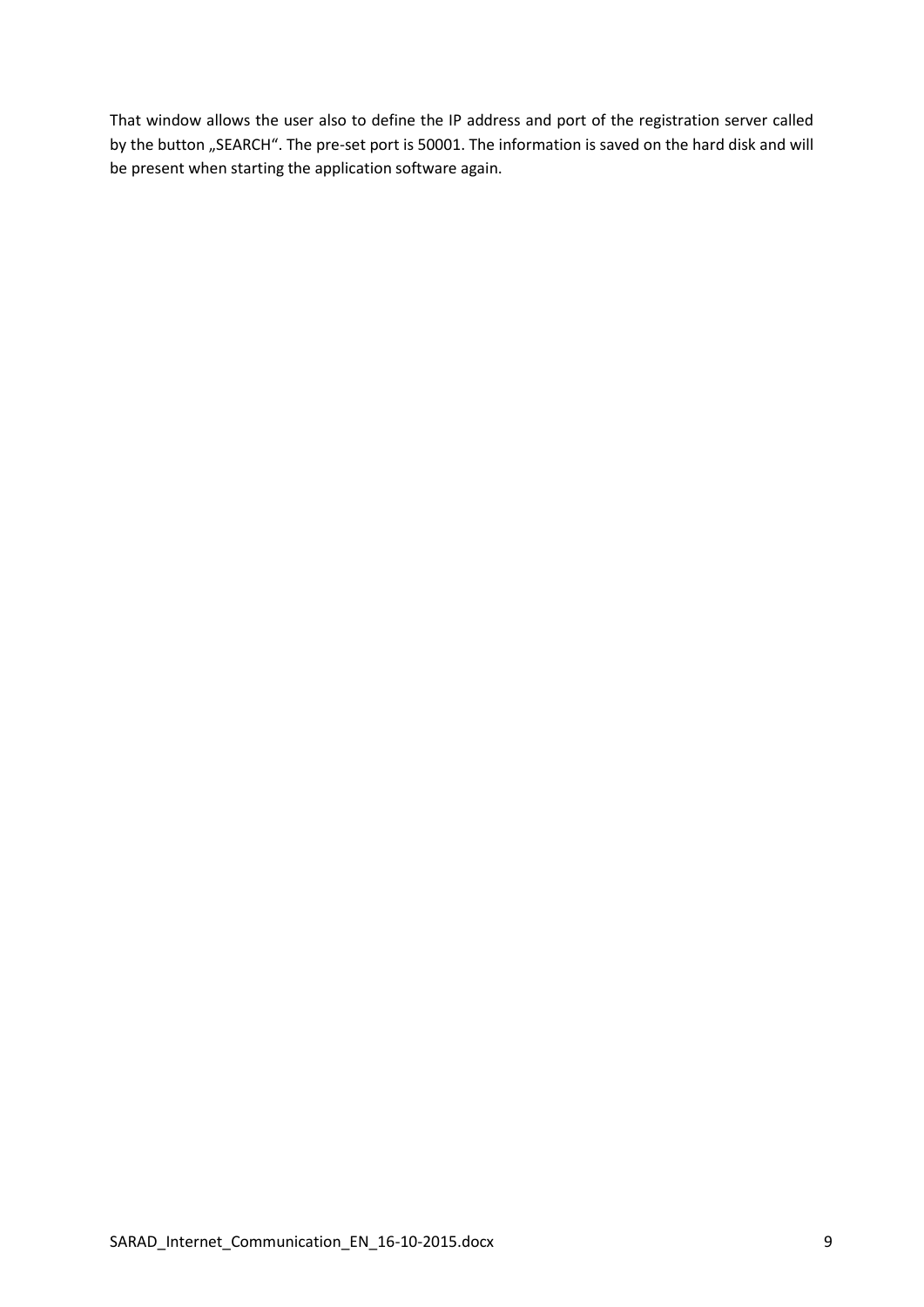That window allows the user also to define the IP address and port of the registration server called by the button "SEARCH". The pre-set port is 50001. The information is saved on the hard disk and will be present when starting the application software again.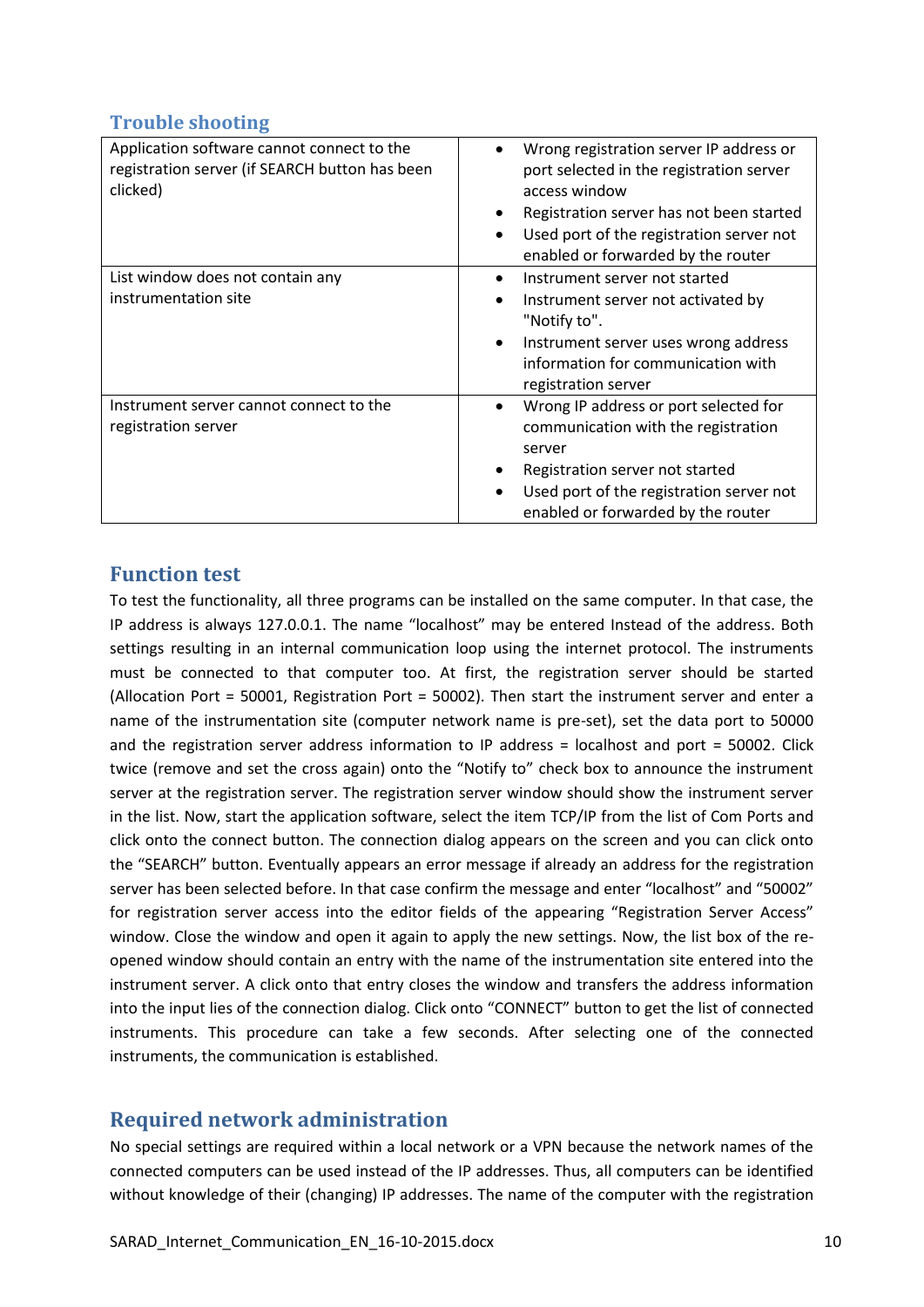## **Trouble shooting**

| Application software cannot connect to the<br>registration server (if SEARCH button has been<br>clicked) | Wrong registration server IP address or<br>port selected in the registration server<br>access window<br>Registration server has not been started<br>$\bullet$<br>Used port of the registration server not<br>٠<br>enabled or forwarded by the router |
|----------------------------------------------------------------------------------------------------------|------------------------------------------------------------------------------------------------------------------------------------------------------------------------------------------------------------------------------------------------------|
| List window does not contain any<br>instrumentation site                                                 | Instrument server not started<br>٠<br>Instrument server not activated by<br>$\bullet$<br>"Notify to".<br>Instrument server uses wrong address<br>$\bullet$<br>information for communication with<br>registration server                              |
| Instrument server cannot connect to the<br>registration server                                           | Wrong IP address or port selected for<br>$\bullet$<br>communication with the registration<br>server<br>Registration server not started<br>٠<br>Used port of the registration server not<br>$\bullet$<br>enabled or forwarded by the router           |

## **Function test**

To test the functionality, all three programs can be installed on the same computer. In that case, the IP address is always 127.0.0.1. The name "localhost" may be entered Instead of the address. Both settings resulting in an internal communication loop using the internet protocol. The instruments must be connected to that computer too. At first, the registration server should be started (Allocation Port = 50001, Registration Port = 50002). Then start the instrument server and enter a name of the instrumentation site (computer network name is pre-set), set the data port to 50000 and the registration server address information to IP address = localhost and port = 50002. Click twice (remove and set the cross again) onto the "Notify to" check box to announce the instrument server at the registration server. The registration server window should show the instrument server in the list. Now, start the application software, select the item TCP/IP from the list of Com Ports and click onto the connect button. The connection dialog appears on the screen and you can click onto the "SEARCH" button. Eventually appears an error message if already an address for the registration server has been selected before. In that case confirm the message and enter "localhost" and "50002" for registration server access into the editor fields of the appearing "Registration Server Access" window. Close the window and open it again to apply the new settings. Now, the list box of the reopened window should contain an entry with the name of the instrumentation site entered into the instrument server. A click onto that entry closes the window and transfers the address information into the input lies of the connection dialog. Click onto "CONNECT" button to get the list of connected instruments. This procedure can take a few seconds. After selecting one of the connected instruments, the communication is established.

# **Required network administration**

No special settings are required within a local network or a VPN because the network names of the connected computers can be used instead of the IP addresses. Thus, all computers can be identified without knowledge of their (changing) IP addresses. The name of the computer with the registration